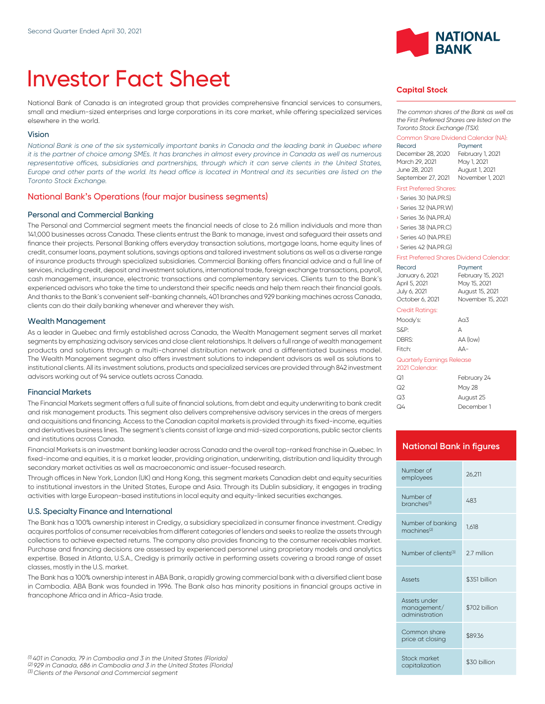# Investor Fact Sheet

National Bank of Canada is an integrated group that provides comprehensive financial services to consumers, small and medium-sized enterprises and large corporations in its core market, while offering specialized services elsewhere in the world.

#### Vision

*National Bank is one of the six systemically important banks in Canada and the leading bank in Quebec where it is the partner of choice among SMEs. It has branches in almost every province in Canada as well as numerous* representative offices, subsidiaries and partnerships, through which it can serve clients in the United States, *Europe and other parts of the world. Its head office is located in Montreal and its securities are listed on the Toronto Stock Exchange.*

#### National Bank's Operations (four major business segments)

#### Personal and Commercial Banking

The Personal and Commercial segment meets the financial needs of close to 2.6 million individuals and more than 141,000 businesses across Canada. These clients entrust the Bank to manage, invest and safeguard their assets and finance their projects. Personal Banking offers everyday transaction solutions, mortgage loans, home equity lines of credit, consumer loans, payment solutions, savings options and tailored investment solutions as well as a diverse range of insurance products through specialized subsidiaries. Commercial Banking offers financial advice and a full line of services, including credit, deposit and investment solutions, international trade, foreign exchange transactions, payroll, cash management, insurance, electronic transactions and complementary services. Clients turn to the Bank's experienced advisors who take the time to understand their specific needs and help them reach their financial goals. And thanks to the Bank's convenient self-banking channels, 401 branches and 929 banking machines across Canada, clients can do their daily banking whenever and wherever they wish.

#### Wealth Management

As a leader in Quebec and firmly established across Canada, the Wealth Management segment serves all market segments by emphasizing advisory services and close client relationships. lt delivers a full range of wealth management products and solutions through a multi-channel distribution network and a differentiated business model. The Wealth Management segment also offers investment solutions to independent advisors as well as solutions to institutional clients. All its investment solutions, products and specialized services are provided through 842 investment advisors working out of 94 service outlets across Canada.

#### Financial Markets

The Financial Markets segment offers a full suite of financial solutions, from debt and equity underwriting to bank credit and risk management products. This segment also delivers comprehensive advisory services in the areas of mergers and acquisitions and financing. Access to the Canadian capital markets is provided through its fixed-income, equities and derivatives business lines. The segment's clients consist of large and mid-sized corporations, public sector clients and institutions across Canada.

Financial Markets is an investment banking leader across Canada and the overall top-ranked franchise in Quebec. In fixed-income and equities, it is a market leader, providing origination, underwriting, distribution and liquidity through secondary market activities as well as macroeconomic and issuer-focused research.

Through offices in New York, London (UK) and Hong Kong, this segment markets Canadian debt and equity securities to institutional investors in the United States, Europe and Asia. Through its Dublin subsidiary, it engages in trading activities with large European-based institutions in local equity and equity-linked securities exchanges.

#### U.S. Specialty Finance and International

The Bank has a 100% ownership interest in Credigy, a subsidiary specialized in consumer finance investment. Credigy acquires portfolios of consumer receivables from different categories of lenders and seeks to realize the assets through collections to achieve expected returns. The company also provides financing to the consumer receivables market. Purchase and financing decisions are assessed by experienced personnel using proprietary models and analytics expertise. Based in Atlanta, U.S.A., Credigy is primarily active in performing assets covering a broad range of asset classes, mostly in the U.S. market.

The Bank has a 100% ownership interest in ABA Bank, a rapidly growing commercial bank with a diversified client base in Cambodia. ABA Bank was founded in 1996. The Bank also has minority positions in financial groups active in francophone Africa and in Africa-Asia trade.



## **Capital Stock**

*The common shares of the Bank as well as the First Preferred Shares are listed on the Toronto Stock Exchange (TSX).*

#### Common Share Dividend Calendar (NA):

| Record             | Payment          |
|--------------------|------------------|
| December 28, 2020  | February 1, 2021 |
| March 29, 2021     | May 1, 2021      |
| June 28, 2021      | August 1, 2021   |
| September 27, 2021 | November 1, 2021 |

#### First Preferred Shares:

› Series 30 (NA.PR.S)

- › Series 32 (NA.PR.W)
- › Series 36 (NA.PR.A)
- › Series 38 (NA.PR.C)

› Series 40 (NA.PR.E) › Series 42 (NA.PR.G)

#### First Preferred Shares Dividend Calendar:

| Record<br>January 6, 2021<br>April 5, 2021<br>July 6, 2021<br>October 6, 2021 | Payment<br>February 15, 2021<br>May 15, 2021<br>August 15, 2021<br>November 15, 2021 |
|-------------------------------------------------------------------------------|--------------------------------------------------------------------------------------|
| <b>Credit Ratings:</b>                                                        |                                                                                      |
| Moody's:                                                                      | An3                                                                                  |
| S&P:                                                                          | А                                                                                    |
| DBRS:                                                                         | AA (low)                                                                             |
| Fitch:                                                                        | ΔД-                                                                                  |
| Quarterly Earnings Release<br>2021 Calendar:                                  |                                                                                      |

| ೧1 | February 24   |
|----|---------------|
| ೧2 | <b>May 28</b> |
| Q3 | August 25     |
| Q4 | December 1    |
|    |               |

## **National Bank in figures**

| Number of<br>employees                        | 26.211        |
|-----------------------------------------------|---------------|
| Number of<br>branches <sup>(1)</sup>          | 483           |
| Number of banking<br>machines <sup>(2)</sup>  | 1.618         |
| Number of clients <sup>(3)</sup>              | 27 million    |
|                                               |               |
| <b>Assets</b>                                 | \$351 billion |
| Assets under<br>management/<br>administration | \$702 billion |
| Common share<br>price at closing              | \$89.36       |